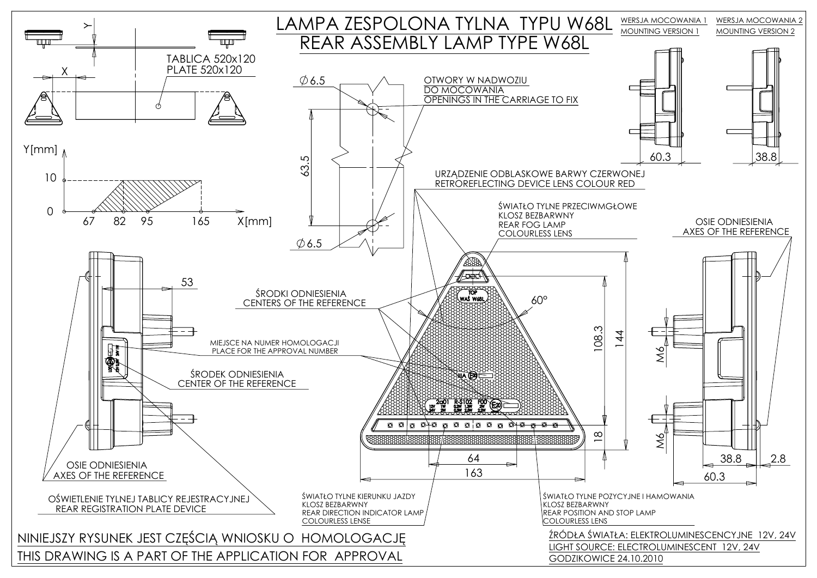